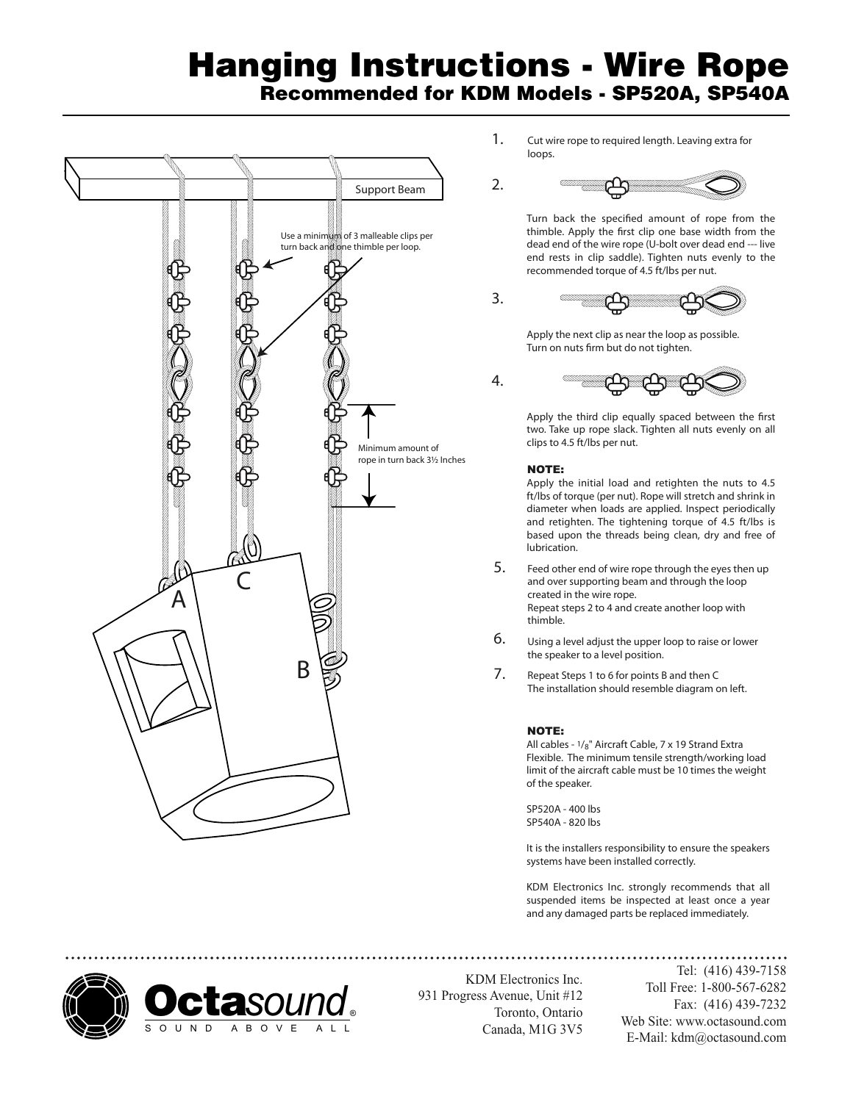## Hanging Instructions - Wire Rope Recommended for KDM Models - SP520A, SP540A

3.



1. Cut wire rope to required length. Leaving extra for loops.



Turn back the specified amount of rope from the thimble. Apply the first clip one base width from the dead end of the wire rope (U-bolt over dead end --- live end rests in clip saddle). Tighten nuts evenly to the recommended torque of 4.5 ft/lbs per nut.



Apply the next clip as near the loop as possible. Turn on nuts firm but do not tighten.



Apply the third clip equally spaced between the first two. Take up rope slack. Tighten all nuts evenly on all clips to 4.5 ft/lbs per nut.

## NOTE:

Apply the initial load and retighten the nuts to 4.5 ft/lbs of torque (per nut). Rope will stretch and shrink in diameter when loads are applied. Inspect periodically and retighten. The tightening torque of 4.5 ft/lbs is based upon the threads being clean, dry and free of lubrication.

- Feed other end of wire rope through the eyes then up and over supporting beam and through the loop created in the wire rope. Repeat steps 2 to 4 and create another loop with thimble. 5.
- Using a level adjust the upper loop to raise or lower the speaker to a level position. 6.
- Repeat Steps 1 to 6 for points **B** and then **C** The installation should resemble diagram on left. 7.

## NOTE:

All cables - 1/8" Aircraft Cable, 7 x 19 Strand Extra Flexible. The minimum tensile strength/working load limit of the aircraft cable must be 10 times the weight of the speaker.

SP520A - 400 lbs SP540A - 820 lbs

It is the installers responsibility to ensure the speakers systems have been installed correctly.

KDM Electronics Inc. strongly recommends that all suspended items be inspected at least once a year and any damaged parts be replaced immediately.



KDM Electronics Inc. 931 Progress Avenue, Unit #12 Toronto, Ontario Canada, M1G 3V5

Tel: (416) 439-7158 Toll Free: 1-800-567-6282 Fax: (416) 439-7232 Web Site: www.octasound.com E-Mail: kdm@octasound.com